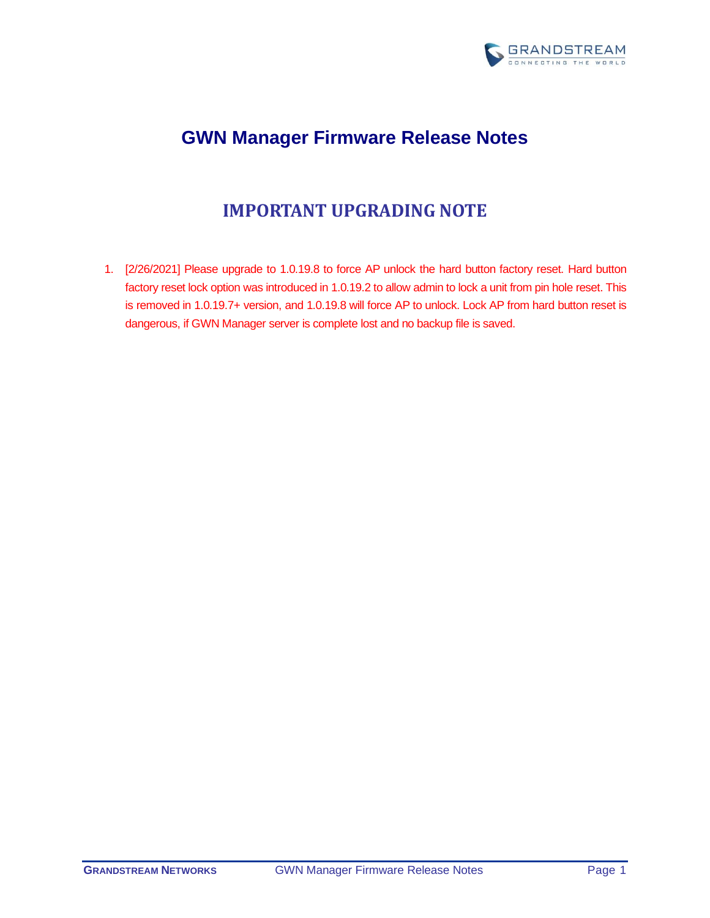

# **GWN Manager Firmware Release Notes**

# **IMPORTANT UPGRADING NOTE**

<span id="page-0-0"></span>1. [2/26/2021] Please upgrade to 1.0.19.8 to force AP unlock the hard button factory reset. Hard button factory reset lock option was introduced in 1.0.19.2 to allow admin to lock a unit from pin hole reset. This is removed in 1.0.19.7+ version, and 1.0.19.8 will force AP to unlock. Lock AP from hard button reset is dangerous, if GWN Manager server is complete lost and no backup file is saved.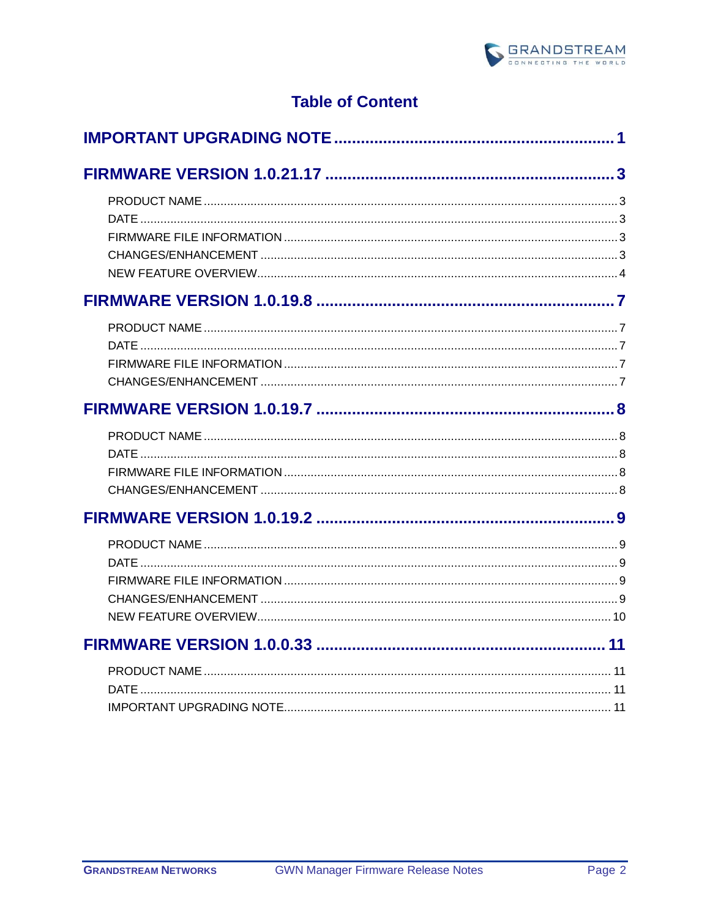

# **Table of Content**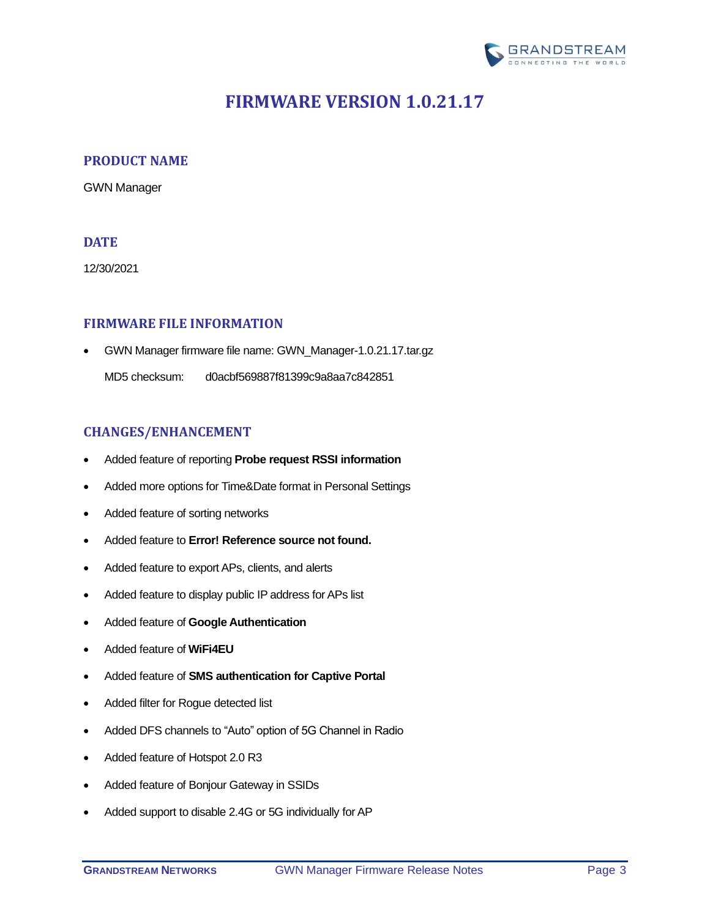

# <span id="page-2-0"></span>**FIRMWARE VERSION 1.0.21.17**

### <span id="page-2-1"></span>**PRODUCT NAME**

GWN Manager

## <span id="page-2-2"></span>**DATE**

12/30/2021

### <span id="page-2-3"></span>**FIRMWARE FILE INFORMATION**

• GWN Manager firmware file name: GWN\_Manager-1.0.21.17.tar.gz

MD5 checksum: d0acbf569887f81399c9a8aa7c842851

### <span id="page-2-4"></span>**CHANGES/ENHANCEMENT**

- Added feature of reporting **[Probe request RSSI information](#page-3-1)**
- Added more options for Time&Date format in Personal Settings
- Added feature of sorting networks
- Added feature to **Error! Reference source not found.**
- Added feature to export APs, clients, and alerts
- Added feature to display public IP address for APs list
- Added feature of **[Google Authentication](#page-4-0)**
- Added feature of **[WiFi4EU](#page-4-1)**
- Added feature of **[SMS authentication for Captive Portal](#page-5-0)**
- Added filter for Rogue detected list
- Added DFS channels to "Auto" option of 5G Channel in Radio
- Added feature of Hotspot 2.0 R3
- Added feature of Bonjour Gateway in SSIDs
- Added support to disable 2.4G or 5G individually for AP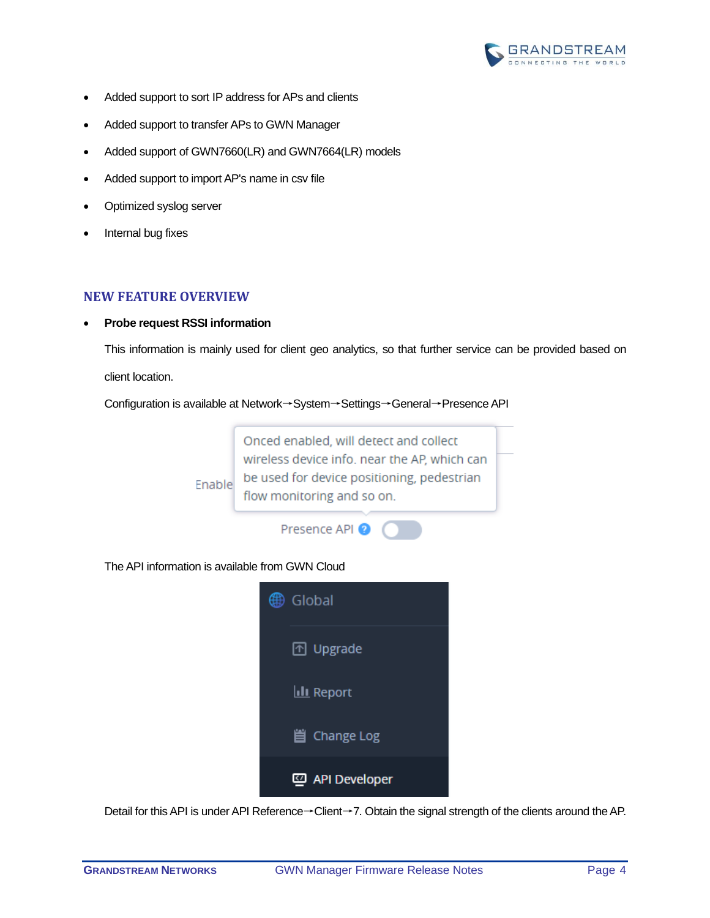

- Added support to sort IP address for APs and clients
- Added support to transfer APs to GWN Manager
- Added support of GWN7660(LR) and GWN7664(LR) models
- Added support to import AP's name in csv file
- Optimized syslog server
- Internal bug fixes

### <span id="page-3-0"></span>**NEW FEATURE OVERVIEW**

<span id="page-3-1"></span>• **Probe request RSSI information**

This information is mainly used for client geo analytics, so that further service can be provided based on client location.

Configuration is available at Network→System→Settings→General→Presence API



#### The API information is available from GWN Cloud



Detail for this API is under API Reference→Client→7. Obtain the signal strength of the clients around the AP.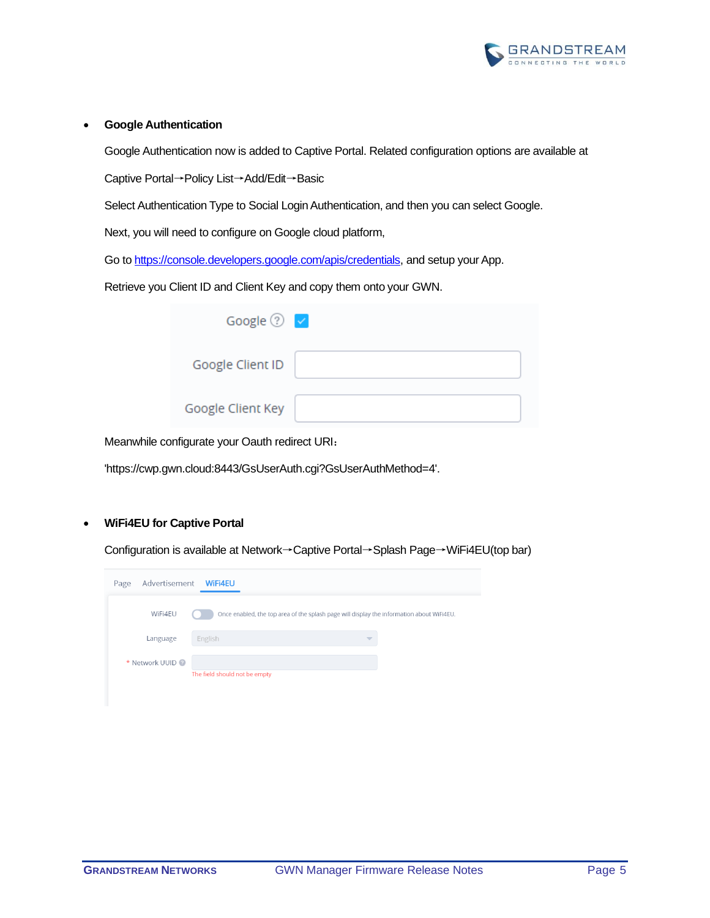

#### <span id="page-4-0"></span>• **Google Authentication**

Google Authentication now is added to Captive Portal. Related configuration options are available at

Captive Portal→Policy List→Add/Edit→Basic

Select Authentication Type to Social Login Authentication, and then you can select Google.

Next, you will need to configure on Google cloud platform,

Go to [https://console.developers.google.com/apis/credentials,](https://console.developers.google.com/apis/credentials) and setup your App.

Retrieve you Client ID and Client Key and copy them onto your GWN.

| Google $\odot$ $\checkmark$ |  |
|-----------------------------|--|
| Google Client ID            |  |
| Google Client Key           |  |

Meanwhile configurate your Oauth redirect URI:

'https://cwp.gwn.cloud:8443/GsUserAuth.cgi?GsUserAuthMethod=4'.

#### <span id="page-4-1"></span>• **WiFi4EU for Captive Portal**

Configuration is available at Network→Captive Portal→Splash Page→WiFi4EU(top bar)

| Advertisement<br>Page | <b>WiFi4EU</b>                                                                            |  |
|-----------------------|-------------------------------------------------------------------------------------------|--|
| WiFi4EU               | Once enabled, the top area of the splash page will display the information about WIFI4EU. |  |
| Language              | English<br>$\overline{\phantom{a}}$                                                       |  |
| * Network UUID        | The field should not be empty                                                             |  |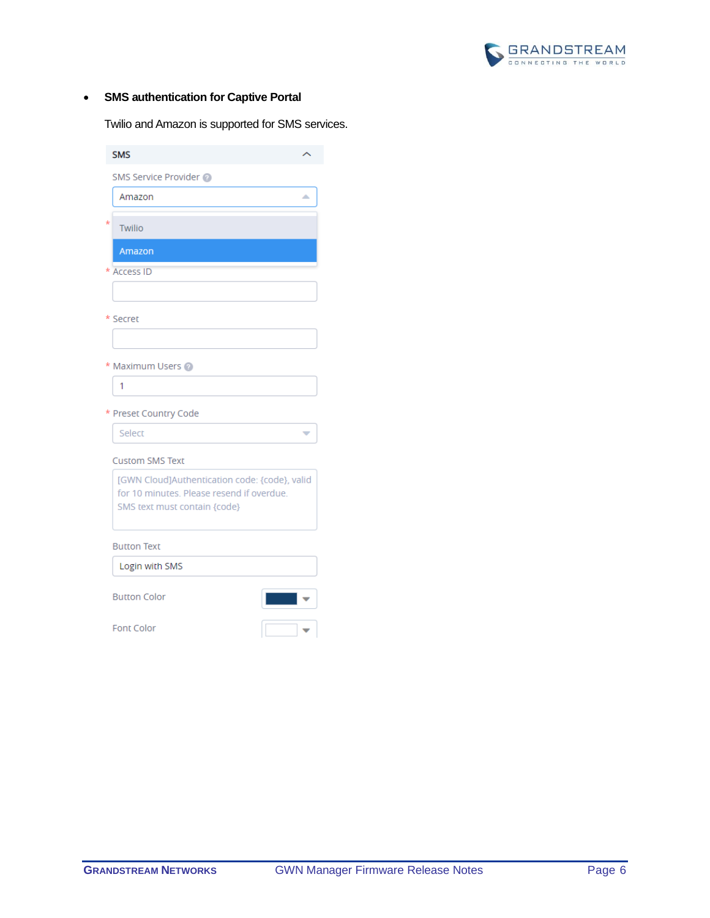

## <span id="page-5-0"></span>• **SMS authentication for Captive Portal**

Twilio and Amazon is supported for SMS services.

| <b>SMS</b>                                                                                                                 |  |
|----------------------------------------------------------------------------------------------------------------------------|--|
| SMS Service Provider                                                                                                       |  |
| Amazon<br>▵                                                                                                                |  |
| k<br>Twilio                                                                                                                |  |
| Amazon                                                                                                                     |  |
| * Access ID                                                                                                                |  |
|                                                                                                                            |  |
| * Secret                                                                                                                   |  |
|                                                                                                                            |  |
| * Maximum Users @                                                                                                          |  |
| 1                                                                                                                          |  |
| * Preset Country Code                                                                                                      |  |
| Select<br>$\overline{\phantom{a}}$                                                                                         |  |
| <b>Custom SMS Text</b>                                                                                                     |  |
| [GWN Cloud]Authentication code: {code}, valid<br>for 10 minutes. Please resend if overdue.<br>SMS text must contain {code} |  |
| <b>Button Text</b>                                                                                                         |  |
| Login with SMS                                                                                                             |  |
| <b>Button Color</b>                                                                                                        |  |

Font Color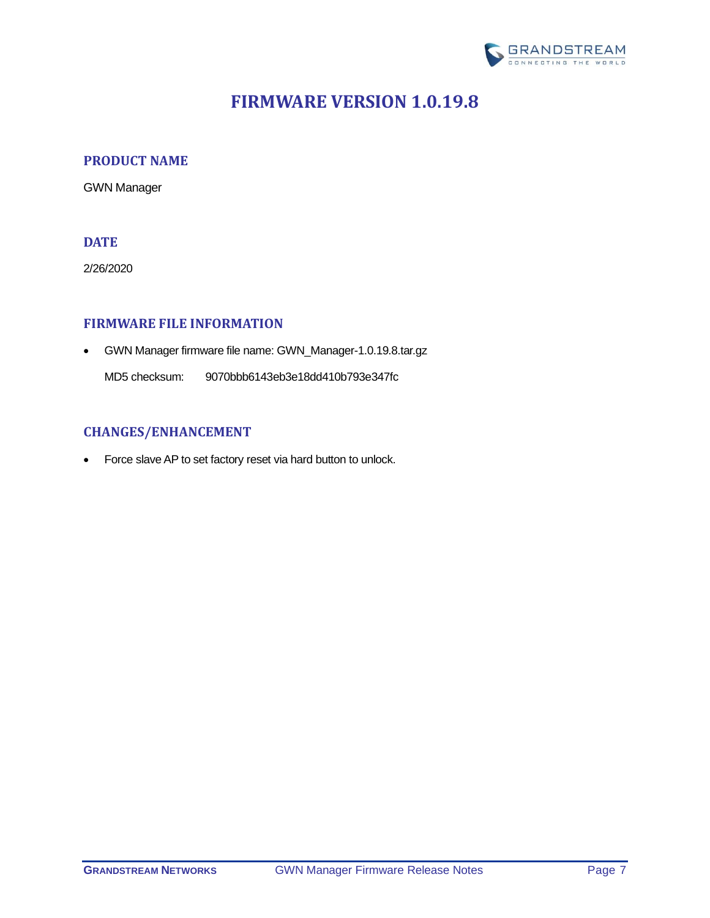

# **FIRMWARE VERSION 1.0.19.8**

### <span id="page-6-1"></span><span id="page-6-0"></span>**PRODUCT NAME**

GWN Manager

## <span id="page-6-2"></span>**DATE**

2/26/2020

### <span id="page-6-3"></span>**FIRMWARE FILE INFORMATION**

• GWN Manager firmware file name: GWN\_Manager-1.0.19.8.tar.gz

MD5 checksum: 9070bbb6143eb3e18dd410b793e347fc

## <span id="page-6-4"></span>**CHANGES/ENHANCEMENT**

• Force slave AP to set factory reset via hard button to unlock.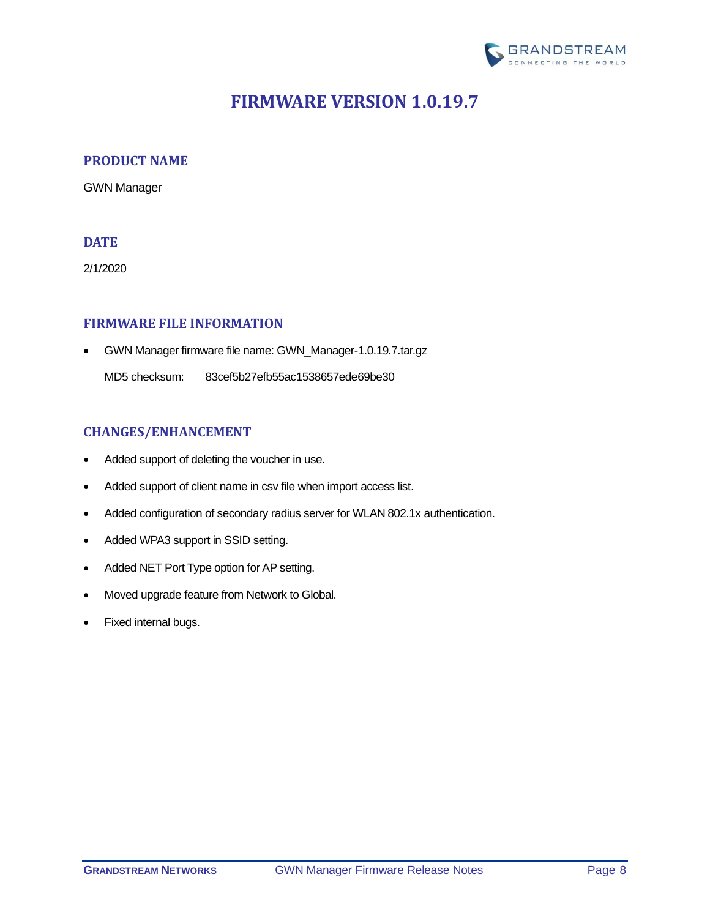

# **FIRMWARE VERSION 1.0.19.7**

### <span id="page-7-1"></span><span id="page-7-0"></span>**PRODUCT NAME**

GWN Manager

## <span id="page-7-2"></span>**DATE**

2/1/2020

### <span id="page-7-3"></span>**FIRMWARE FILE INFORMATION**

• GWN Manager firmware file name: GWN\_Manager-1.0.19.7.tar.gz

MD5 checksum: 83cef5b27efb55ac1538657ede69be30

### <span id="page-7-4"></span>**CHANGES/ENHANCEMENT**

- Added support of deleting the voucher in use.
- Added support of client name in csv file when import access list.
- Added configuration of secondary radius server for WLAN 802.1x authentication.
- Added WPA3 support in SSID setting.
- Added NET Port Type option for AP setting.
- Moved upgrade feature from Network to Global.
- Fixed internal bugs.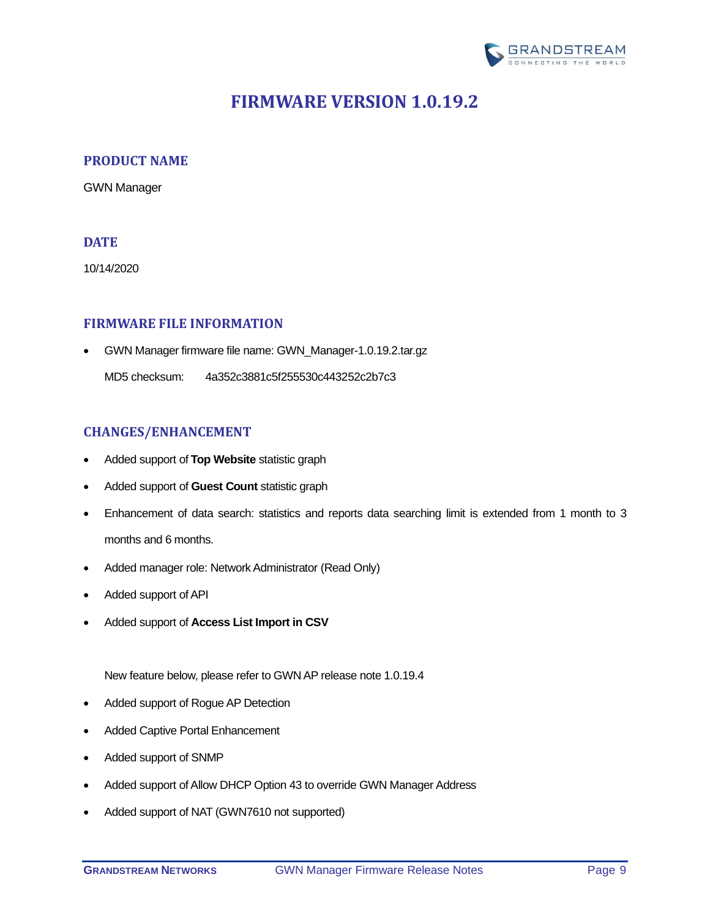

# **FIRMWARE VERSION 1.0.19.2**

### <span id="page-8-1"></span><span id="page-8-0"></span>**PRODUCT NAME**

GWN Manager

### <span id="page-8-2"></span>**DATE**

10/14/2020

### <span id="page-8-3"></span>**FIRMWARE FILE INFORMATION**

• GWN Manager firmware file name: GWN\_Manager-1.0.19.2.tar.gz

MD5 checksum: 4a352c3881c5f255530c443252c2b7c3

### <span id="page-8-4"></span>**CHANGES/ENHANCEMENT**

- Added support of **Top [Website](#page-9-1)** statistic graph
- Added support of **[Guest Count](#page-9-2)** statistic graph
- Enhancement of data search: statistics and reports data searching limit is extended from 1 month to 3 months and 6 months.
- Added manager role: Network Administrator (Read Only)
- Added support of API
- Added support of **[Access List Import in CSV](#page-9-3)**

New feature below, please refer to GWN AP release note 1.0.19.4

- Added support of Rogue AP Detection
- Added Captive Portal Enhancement
- Added support of SNMP
- Added support of Allow DHCP Option 43 to override GWN Manager Address
- Added support of NAT (GWN7610 not supported)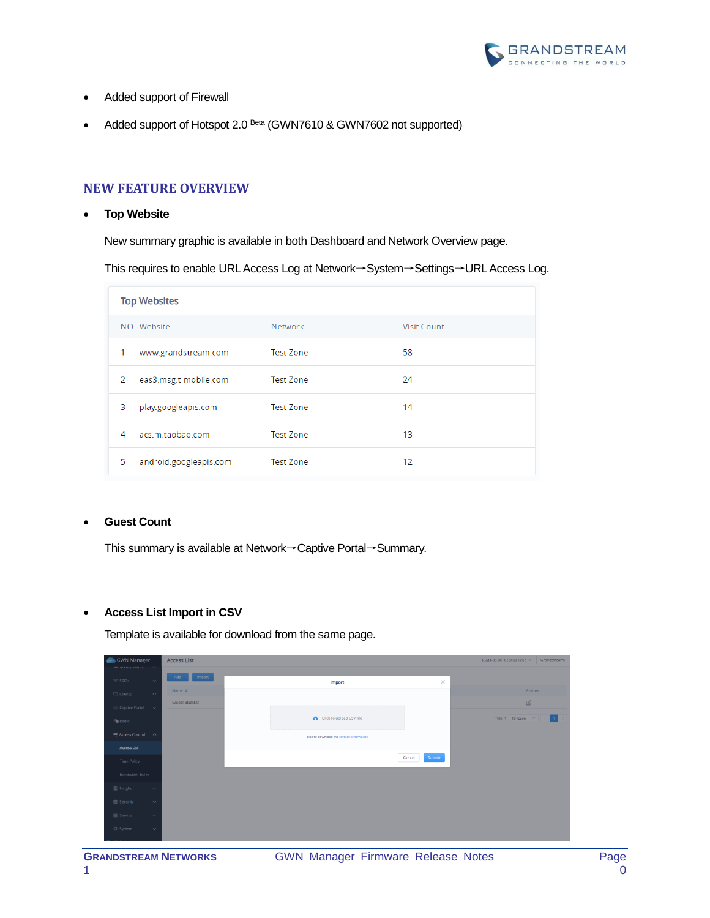

- Added support of Firewall
- Added support of Hotspot 2.0 Beta (GWN7610 & GWN7602 not supported)

### <span id="page-9-0"></span>**NEW FEATURE OVERVIEW**

#### <span id="page-9-1"></span>• **Top Website**

New summary graphic is available in both Dashboard and Network Overview page.

This requires to enable URL Access Log at Network→System→Settings→URL Access Log.

| <b>Top Websites</b>         |                  |                    |  |  |
|-----------------------------|------------------|--------------------|--|--|
| NO. Website                 | <b>Network</b>   | <b>Visit Count</b> |  |  |
| 1<br>www.grandstream.com    | <b>Test Zone</b> | 58                 |  |  |
| eas3.msg.t-mobile.com<br>2  | <b>Test Zone</b> | 24                 |  |  |
| 3<br>play.googleapis.com    | <b>Test Zone</b> | 14                 |  |  |
| acs.m.taobao.com<br>4       | <b>Test Zone</b> | 13                 |  |  |
| 5<br>android.googleapis.com | <b>Test Zone</b> | 12                 |  |  |

#### <span id="page-9-2"></span>• **Guest Count**

This summary is available at Network→Captive Portal→Summary.

#### <span id="page-9-3"></span>• **Access List Import in CSV**

Template is available for download from the same page.

| <b>Com</b> GWN Manager                                             | <b>Access List</b>      |                                          |                  | GrandstreamIT<br>(GMT-05:00) Central Time |
|--------------------------------------------------------------------|-------------------------|------------------------------------------|------------------|-------------------------------------------|
| $=$ ALLESS PUTTS $\vee$<br>$\widehat{\mathcal{P}}$ SSIDs<br>$\sim$ | Import<br>Add           | Import                                   | ×                |                                           |
| $\Box$ Clients<br>$\sim$                                           | Name $\Leftrightarrow$  |                                          |                  | Actions                                   |
| $\Xi$ Captive Portal $\sim$                                        | <b>Global Blacklist</b> |                                          |                  | $\mathbb{Z}$                              |
| <b>Radio</b>                                                       |                         | Click to upload CSV file                 |                  | Total 1 10 /page = =                      |
| 료 Access Control ^                                                 |                         | click to download the reference template |                  |                                           |
| <b>Access List</b>                                                 |                         |                                          |                  |                                           |
| Time Policy                                                        |                         |                                          | Submit<br>Cancel |                                           |
| <b>Bandwidth Rules</b>                                             |                         |                                          |                  |                                           |
| $\blacksquare$ Insight<br>$\checkmark$                             |                         |                                          |                  |                                           |
| Security<br>$\checkmark$                                           |                         |                                          |                  |                                           |
| $\equiv$ Service<br>$\checkmark$                                   |                         |                                          |                  |                                           |
| ☆ System<br>$\checkmark$                                           |                         |                                          |                  |                                           |